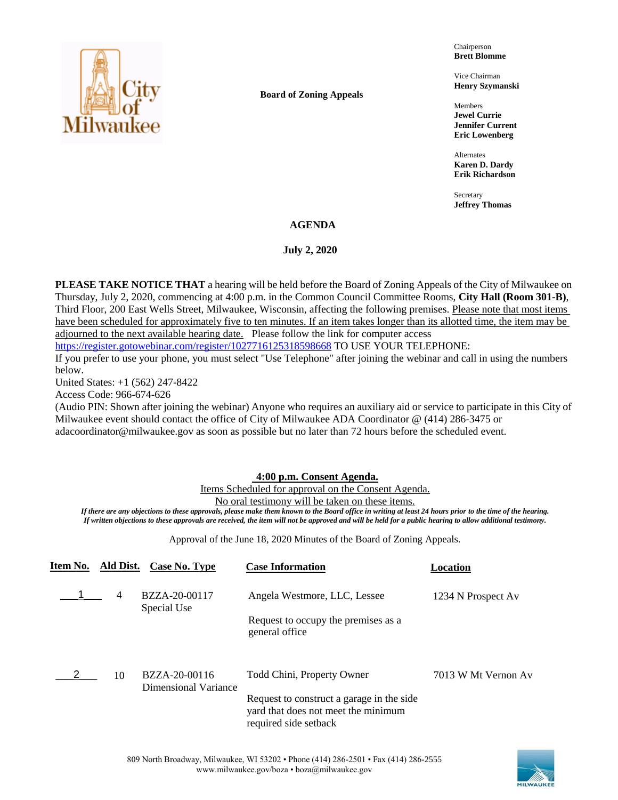

**Board of Zoning Appeals**

Chairperson **Brett Blomme**

Vice Chairman **Henry Szymanski**

Members **Jewel Currie Jennifer Current Eric Lowenberg**

Alternates **Karen D. Dardy Erik Richardson**

Secretary **Jeffrey Thomas**

### **AGENDA**

#### **July 2, 2020**

**PLEASE TAKE NOTICE THAT** a hearing will be held before the Board of Zoning Appeals of the City of Milwaukee on Thursday, July 2, 2020, commencing at 4:00 p.m. in the Common Council Committee Rooms, **City Hall (Room 301-B)**, Third Floor, 200 East Wells Street, Milwaukee, Wisconsin, affecting the following premises. Please note that most items have been scheduled for approximately five to ten minutes. If an item takes longer than its allotted time, the item may be adjourned to the next available hearing date. Please follow the link for computer access

<https://register.gotowebinar.com/register/1027716125318598668> TO USE YOUR TELEPHONE:

If you prefer to use your phone, you must select "Use Telephone" after joining the webinar and call in using the numbers below.

United States: +1 (562) 247-8422

Access Code: 966-674-626

(Audio PIN: Shown after joining the webinar) Anyone who requires an auxiliary aid or service to participate in this City of Milwaukee event should contact the office of City of Milwaukee ADA Coordinator @ (414) 286-3475 or adacoordinator@milwaukee.gov as soon as possible but no later than 72 hours before the scheduled event.

#### **4:00 p.m. Consent Agenda.**

Items Scheduled for approval on the Consent Agenda.

No oral testimony will be taken on these items.

*If there are any objections to these approvals, please make them known to the Board office in writing at least 24 hours prior to the time of the hearing. If written objections to these approvals are received, the item will not be approved and will be held for a public hearing to allow additional testimony.*

Approval of the June 18, 2020 Minutes of the Board of Zoning Appeals.

| Item No. | Ald Dist.      | Case No. Type                                | <b>Case Information</b>                                                                                   | Location            |
|----------|----------------|----------------------------------------------|-----------------------------------------------------------------------------------------------------------|---------------------|
|          | $\overline{4}$ | BZZA-20-00117<br>Special Use                 | Angela Westmore, LLC, Lessee                                                                              | 1234 N Prospect Av  |
|          |                |                                              | Request to occupy the premises as a<br>general office                                                     |                     |
|          | 10             | BZZA-20-00116<br><b>Dimensional Variance</b> | Todd Chini, Property Owner                                                                                | 7013 W Mt Vernon Av |
|          |                |                                              | Request to construct a garage in the side<br>yard that does not meet the minimum<br>required side setback |                     |

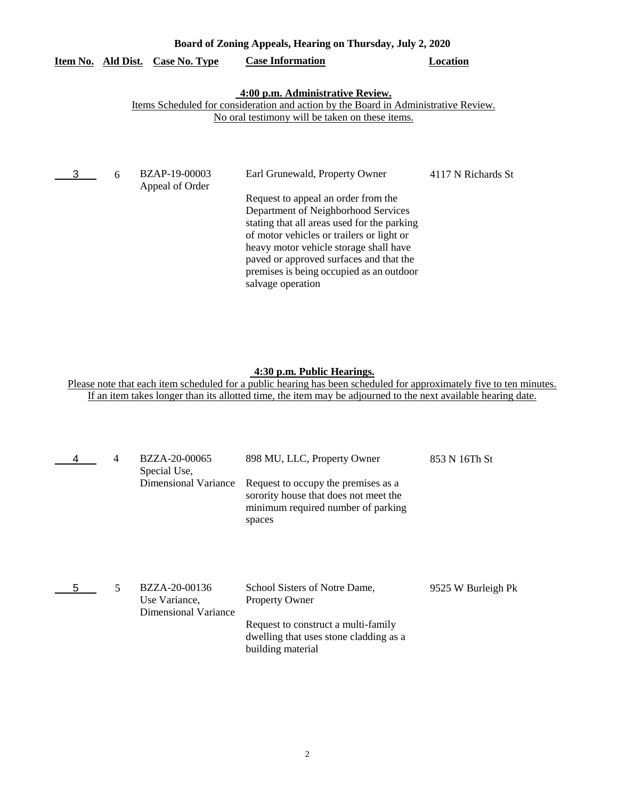|   | Board of Zoning Appeals, Hearing on Thursday, July 2, 2020 |                                         |                                                                                                                                                                                                                                                                                                                                                                |                    |  |  |  |
|---|------------------------------------------------------------|-----------------------------------------|----------------------------------------------------------------------------------------------------------------------------------------------------------------------------------------------------------------------------------------------------------------------------------------------------------------------------------------------------------------|--------------------|--|--|--|
|   |                                                            | <u>Item No. Ald Dist. Case No. Type</u> | <b>Case Information</b>                                                                                                                                                                                                                                                                                                                                        | Location           |  |  |  |
|   |                                                            |                                         | 4:00 p.m. Administrative Review.<br>Items Scheduled for consideration and action by the Board in Administrative Review.<br>No oral testimony will be taken on these items.                                                                                                                                                                                     |                    |  |  |  |
| 3 | 6                                                          | <b>BZAP-19-00003</b><br>Appeal of Order | Earl Grunewald, Property Owner<br>Request to appeal an order from the<br>Department of Neighborhood Services<br>stating that all areas used for the parking<br>of motor vehicles or trailers or light or<br>heavy motor vehicle storage shall have<br>paved or approved surfaces and that the<br>premises is being occupied as an outdoor<br>salvage operation | 4117 N Richards St |  |  |  |

## **4:30 p.m. Public Hearings.**

|   | 4 | BZZA-20-00065<br>Special Use,<br>Dimensional Variance  | 898 MU, LLC, Property Owner<br>Request to occupy the premises as a<br>sorority house that does not meet the<br>minimum required number of parking<br>spaces  | 853 N 16Th St      |
|---|---|--------------------------------------------------------|--------------------------------------------------------------------------------------------------------------------------------------------------------------|--------------------|
| 5 | 5 | BZZA-20-00136<br>Use Variance,<br>Dimensional Variance | School Sisters of Notre Dame,<br><b>Property Owner</b><br>Request to construct a multi-family<br>dwelling that uses stone cladding as a<br>building material | 9525 W Burleigh Pk |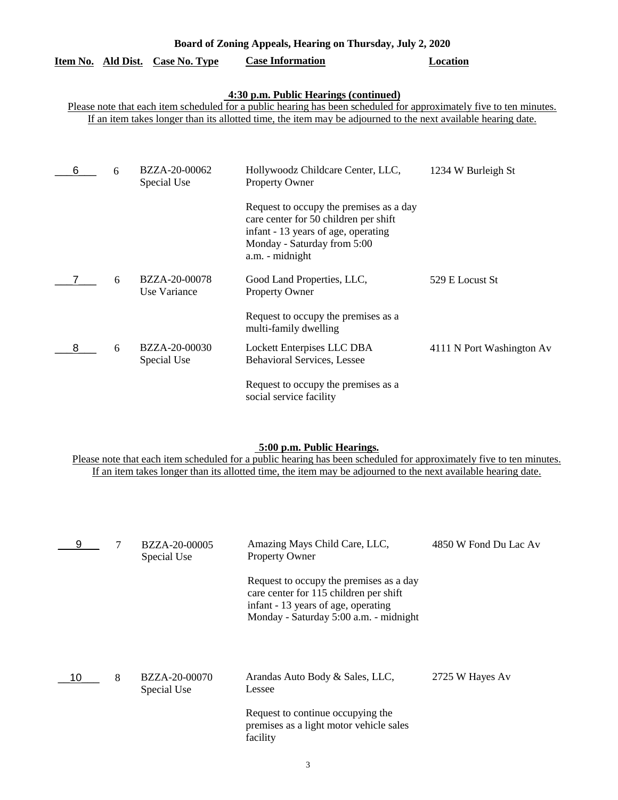| Item No. Ald Dist.                                                                                                                                                                                                                                                            |   | <b>Case No. Type</b>          | <b>Case Information</b>                                                                                                                                                   | <b>Location</b>           |  |  |  |
|-------------------------------------------------------------------------------------------------------------------------------------------------------------------------------------------------------------------------------------------------------------------------------|---|-------------------------------|---------------------------------------------------------------------------------------------------------------------------------------------------------------------------|---------------------------|--|--|--|
| 4:30 p.m. Public Hearings (continued)<br>Please note that each item scheduled for a public hearing has been scheduled for approximately five to ten minutes.<br>If an item takes longer than its allotted time, the item may be adjourned to the next available hearing date. |   |                               |                                                                                                                                                                           |                           |  |  |  |
| 6                                                                                                                                                                                                                                                                             | 6 | BZZA-20-00062<br>Special Use  | Hollywoodz Childcare Center, LLC,<br>Property Owner                                                                                                                       | 1234 W Burleigh St        |  |  |  |
|                                                                                                                                                                                                                                                                               |   |                               | Request to occupy the premises as a day<br>care center for 50 children per shift<br>infant - 13 years of age, operating<br>Monday - Saturday from 5:00<br>a.m. - midnight |                           |  |  |  |
|                                                                                                                                                                                                                                                                               | 6 | BZZA-20-00078<br>Use Variance | Good Land Properties, LLC,<br>Property Owner                                                                                                                              | 529 E Locust St           |  |  |  |
|                                                                                                                                                                                                                                                                               |   |                               | Request to occupy the premises as a<br>multi-family dwelling                                                                                                              |                           |  |  |  |
| 8                                                                                                                                                                                                                                                                             | 6 | BZZA-20-00030<br>Special Use  | Lockett Enterpises LLC DBA<br>Behavioral Services, Lessee                                                                                                                 | 4111 N Port Washington Av |  |  |  |
|                                                                                                                                                                                                                                                                               |   |                               | Request to occupy the premises as a<br>social service facility                                                                                                            |                           |  |  |  |

**Board of Zoning Appeals, Hearing on Thursday, July 2, 2020** 

#### **5:00 p.m. Public Hearings.**

| 9  |   | BZZA-20-00005<br>Special Use | Amazing Mays Child Care, LLC,<br><b>Property Owner</b>                                                                                                             | 4850 W Fond Du Lac Av |
|----|---|------------------------------|--------------------------------------------------------------------------------------------------------------------------------------------------------------------|-----------------------|
|    |   |                              | Request to occupy the premises as a day<br>care center for 115 children per shift<br>infant - 13 years of age, operating<br>Monday - Saturday 5:00 a.m. - midnight |                       |
| 10 | 8 | BZZA-20-00070<br>Special Use | Arandas Auto Body & Sales, LLC,<br>Lessee                                                                                                                          | 2725 W Hayes Av       |
|    |   |                              | Request to continue occupying the<br>premises as a light motor vehicle sales<br>facility                                                                           |                       |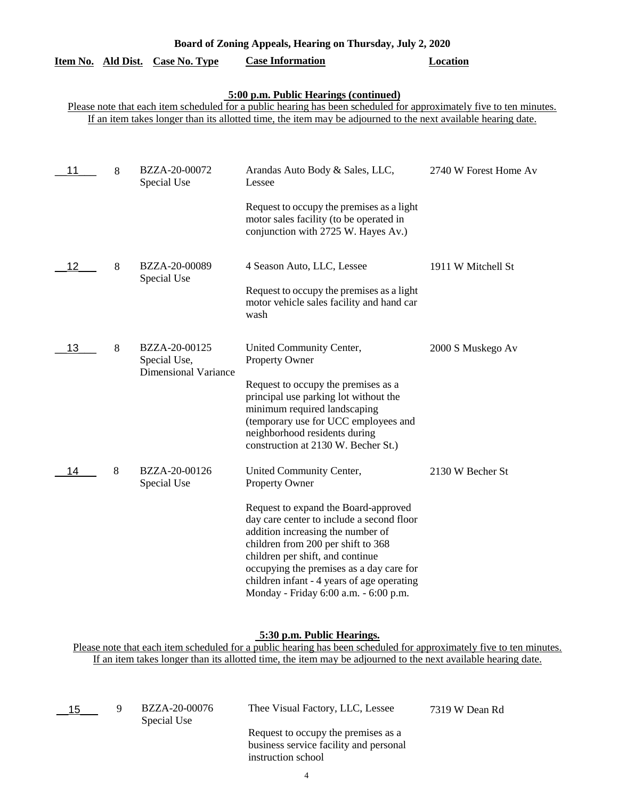| Board of Zoning Appeals, Hearing on Thursday, July 2, 2020 |   |                                                              |                                                                                                                                                                                                                                                                                                                                     |                       |  |  |  |
|------------------------------------------------------------|---|--------------------------------------------------------------|-------------------------------------------------------------------------------------------------------------------------------------------------------------------------------------------------------------------------------------------------------------------------------------------------------------------------------------|-----------------------|--|--|--|
| Item No. Ald Dist.                                         |   | <b>Case No. Type</b>                                         | <b>Case Information</b>                                                                                                                                                                                                                                                                                                             | <b>Location</b>       |  |  |  |
|                                                            |   |                                                              | 5:00 p.m. Public Hearings (continued)<br>Please note that each item scheduled for a public hearing has been scheduled for approximately five to ten minutes.<br>If an item takes longer than its allotted time, the item may be adjourned to the next available hearing date.                                                       |                       |  |  |  |
| 11                                                         | 8 | BZZA-20-00072<br>Special Use                                 | Arandas Auto Body & Sales, LLC,<br>Lessee                                                                                                                                                                                                                                                                                           | 2740 W Forest Home Av |  |  |  |
|                                                            |   |                                                              | Request to occupy the premises as a light<br>motor sales facility (to be operated in<br>conjunction with 2725 W. Hayes Av.)                                                                                                                                                                                                         |                       |  |  |  |
| 12                                                         | 8 | BZZA-20-00089<br>Special Use                                 | 4 Season Auto, LLC, Lessee                                                                                                                                                                                                                                                                                                          | 1911 W Mitchell St    |  |  |  |
|                                                            |   |                                                              | Request to occupy the premises as a light<br>motor vehicle sales facility and hand car<br>wash                                                                                                                                                                                                                                      |                       |  |  |  |
| 13                                                         | 8 | BZZA-20-00125<br>Special Use,<br><b>Dimensional Variance</b> | United Community Center,<br>Property Owner                                                                                                                                                                                                                                                                                          | 2000 S Muskego Av     |  |  |  |
|                                                            |   |                                                              | Request to occupy the premises as a<br>principal use parking lot without the<br>minimum required landscaping<br>(temporary use for UCC employees and<br>neighborhood residents during<br>construction at 2130 W. Becher St.)                                                                                                        |                       |  |  |  |
| 14                                                         | 8 | BZZA-20-00126<br>Special Use                                 | United Community Center,<br><b>Property Owner</b>                                                                                                                                                                                                                                                                                   | 2130 W Becher St      |  |  |  |
|                                                            |   |                                                              | Request to expand the Board-approved<br>day care center to include a second floor<br>addition increasing the number of<br>children from 200 per shift to 368<br>children per shift, and continue<br>occupying the premises as a day care for<br>children infant - 4 years of age operating<br>Monday - Friday 6:00 a.m. - 6:00 p.m. |                       |  |  |  |

### **5:30 p.m. Public Hearings.**

| $\_$ 15 $\_$ | BZZA-20-00076<br>Special Use | Thee Visual Factory, LLC, Lessee                                                                    | 7319 W Dean Rd |
|--------------|------------------------------|-----------------------------------------------------------------------------------------------------|----------------|
|              |                              | Request to occupy the premises as a<br>business service facility and personal<br>instruction school |                |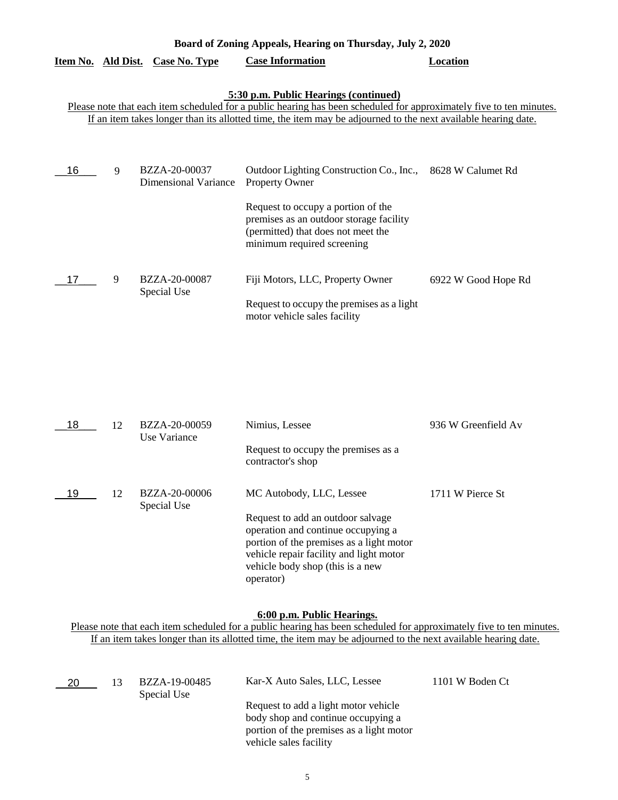|    |   |                                              | Board of Zoning Appeals, Hearing on Thursday, July 2, 2020                                                                                                                                                                                                                    |                     |
|----|---|----------------------------------------------|-------------------------------------------------------------------------------------------------------------------------------------------------------------------------------------------------------------------------------------------------------------------------------|---------------------|
|    |   | <u>Item No. Ald Dist. Case No. Type</u>      | <b>Case Information</b>                                                                                                                                                                                                                                                       | Location            |
|    |   |                                              | 5:30 p.m. Public Hearings (continued)<br>Please note that each item scheduled for a public hearing has been scheduled for approximately five to ten minutes.<br>If an item takes longer than its allotted time, the item may be adjourned to the next available hearing date. |                     |
| 16 | 9 | BZZA-20-00037<br><b>Dimensional Variance</b> | Outdoor Lighting Construction Co., Inc., 8628 W Calumet Rd<br>Property Owner<br>Request to occupy a portion of the<br>premises as an outdoor storage facility<br>(permitted) that does not meet the<br>minimum required screening                                             |                     |
|    | 9 | BZZA-20-00087<br>Special Use                 | Fiji Motors, LLC, Property Owner<br>Request to occupy the premises as a light<br>motor vehicle sales facility                                                                                                                                                                 | 6922 W Good Hope Rd |

| 12. | BZZA-20-00059<br>Use Variance | Nimius, Lessee                                                          | 936 W Greenfield Av                                   |
|-----|-------------------------------|-------------------------------------------------------------------------|-------------------------------------------------------|
|     |                               | Request to occupy the premises as a<br>contractor's shop                |                                                       |
| 12  | BZZA-20-00006                 | MC Autobody, LLC, Lessee                                                | 1711 W Pierce St                                      |
|     |                               | Request to add an outdoor salvage<br>operation and continue occupying a |                                                       |
|     |                               | vehicle repair facility and light motor                                 |                                                       |
|     |                               | vehicle body shop (this is a new                                        |                                                       |
|     |                               | Special Use                                                             | portion of the premises as a light motor<br>operator) |

# **6:00 p.m. Public Hearings.**

| 20 | 13 | BZZA-19-00485<br>Special Use | Kar-X Auto Sales, LLC, Lessee            | 1101 W Boden Ct |
|----|----|------------------------------|------------------------------------------|-----------------|
|    |    |                              | Request to add a light motor vehicle     |                 |
|    |    |                              | body shop and continue occupying a       |                 |
|    |    |                              | portion of the premises as a light motor |                 |
|    |    |                              | vehicle sales facility                   |                 |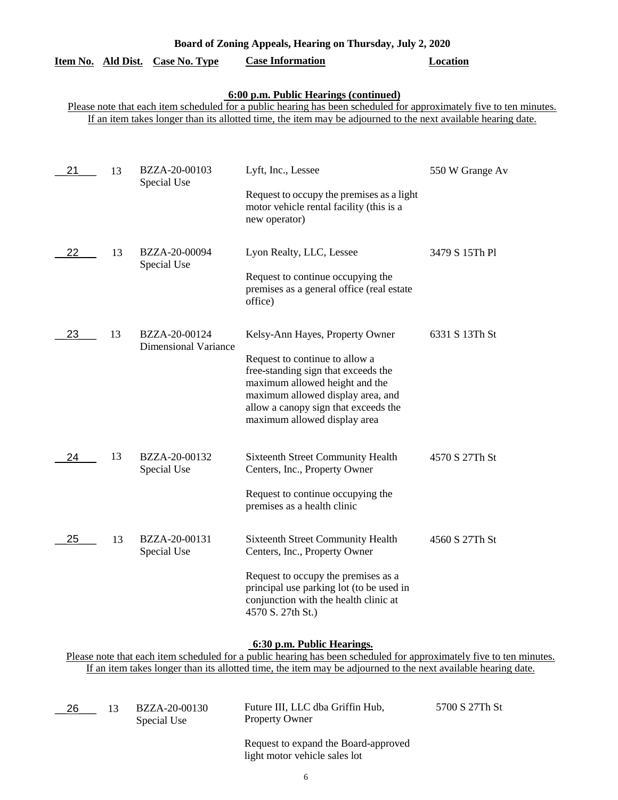|  |  |  | Board of Zoning Appeals, Hearing on Thursday, July 2, 2020 |  |  |  |
|--|--|--|------------------------------------------------------------|--|--|--|
|  |  |  |                                                            |  |  |  |

| Item No. Ald Dist. Case No. Type | <b>Case Information</b> | Location |
|----------------------------------|-------------------------|----------|
|----------------------------------|-------------------------|----------|

## **6:00 p.m. Public Hearings (continued)**

Please note that each item scheduled for a public hearing has been scheduled for approximately five to ten minutes. If an item takes longer than its allotted time, the item may be adjourned to the next available hearing date.

| 21 | 13 | BZZA-20-00103<br>Special Use                 | Lyft, Inc., Lessee<br>Request to occupy the premises as a light<br>motor vehicle rental facility (this is a<br>new operator)                                                                                                                            | 550 W Grange Av |
|----|----|----------------------------------------------|---------------------------------------------------------------------------------------------------------------------------------------------------------------------------------------------------------------------------------------------------------|-----------------|
| 22 | 13 | BZZA-20-00094<br>Special Use                 | Lyon Realty, LLC, Lessee<br>Request to continue occupying the<br>premises as a general office (real estate<br>office)                                                                                                                                   | 3479 S 15Th Pl  |
| 23 | 13 | BZZA-20-00124<br><b>Dimensional Variance</b> | Kelsy-Ann Hayes, Property Owner<br>Request to continue to allow a<br>free-standing sign that exceeds the<br>maximum allowed height and the<br>maximum allowed display area, and<br>allow a canopy sign that exceeds the<br>maximum allowed display area | 6331 S 13Th St  |
| 24 | 13 | BZZA-20-00132<br>Special Use                 | Sixteenth Street Community Health<br>Centers, Inc., Property Owner<br>Request to continue occupying the<br>premises as a health clinic                                                                                                                  | 4570 S 27Th St  |
| 25 | 13 | BZZA-20-00131<br>Special Use                 | <b>Sixteenth Street Community Health</b><br>Centers, Inc., Property Owner<br>Request to occupy the premises as a<br>principal use parking lot (to be used in<br>conjunction with the health clinic at<br>4570 S. 27th St.)                              | 4560 S 27Th St  |

**6:30 p.m. Public Hearings.**

| 26 | 13 | BZZA-20-00130<br>Special Use | Future III, LLC dba Griffin Hub,<br><b>Property Owner</b>             | 5700 S 27Th St |
|----|----|------------------------------|-----------------------------------------------------------------------|----------------|
|    |    |                              | Request to expand the Board-approved<br>light motor vehicle sales lot |                |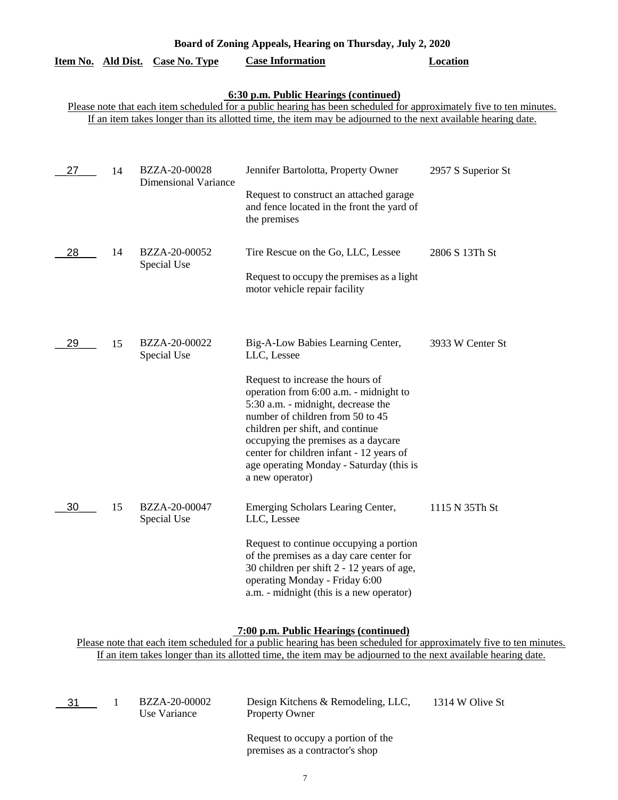|                                                                                                                                                                                                                                                                               |    | Item No. Ald Dist. Case No. Type             | <b>Case Information</b>                                                                                                                                                                                                                                                                                                                                                                        | <b>Location</b>    |  |
|-------------------------------------------------------------------------------------------------------------------------------------------------------------------------------------------------------------------------------------------------------------------------------|----|----------------------------------------------|------------------------------------------------------------------------------------------------------------------------------------------------------------------------------------------------------------------------------------------------------------------------------------------------------------------------------------------------------------------------------------------------|--------------------|--|
| 6:30 p.m. Public Hearings (continued)<br>Please note that each item scheduled for a public hearing has been scheduled for approximately five to ten minutes.<br>If an item takes longer than its allotted time, the item may be adjourned to the next available hearing date. |    |                                              |                                                                                                                                                                                                                                                                                                                                                                                                |                    |  |
| 27                                                                                                                                                                                                                                                                            | 14 | BZZA-20-00028<br><b>Dimensional Variance</b> | Jennifer Bartolotta, Property Owner<br>Request to construct an attached garage<br>and fence located in the front the yard of<br>the premises                                                                                                                                                                                                                                                   | 2957 S Superior St |  |
| 28                                                                                                                                                                                                                                                                            | 14 | BZZA-20-00052<br>Special Use                 | Tire Rescue on the Go, LLC, Lessee<br>Request to occupy the premises as a light<br>motor vehicle repair facility                                                                                                                                                                                                                                                                               | 2806 S 13Th St     |  |
| 29                                                                                                                                                                                                                                                                            | 15 | BZZA-20-00022<br>Special Use                 | Big-A-Low Babies Learning Center,<br>LLC, Lessee<br>Request to increase the hours of<br>operation from 6:00 a.m. - midnight to<br>5:30 a.m. - midnight, decrease the<br>number of children from 50 to 45<br>children per shift, and continue<br>occupying the premises as a daycare<br>center for children infant - 12 years of<br>age operating Monday - Saturday (this is<br>a new operator) | 3933 W Center St   |  |
| $\overline{30}$                                                                                                                                                                                                                                                               | 15 | BZZA-20-00047<br>Special Use                 | Emerging Scholars Learing Center,<br>LLC, Lessee<br>Request to continue occupying a portion<br>of the premises as a day care center for<br>30 children per shift 2 - 12 years of age,<br>operating Monday - Friday 6:00<br>a.m. - midnight (this is a new operator)                                                                                                                            | 1115 N 35Th St     |  |

**Board of Zoning Appeals, Hearing on Thursday, July 2, 2020** 

# **7:00 p.m. Public Hearings (continued)**

| - 31 | BZZA-20-00002<br>Use Variance | Design Kitchens & Remodeling, LLC,<br><b>Property Owner</b>           | 1314 W Olive St |
|------|-------------------------------|-----------------------------------------------------------------------|-----------------|
|      |                               | Request to occupy a portion of the<br>premises as a contractor's shop |                 |